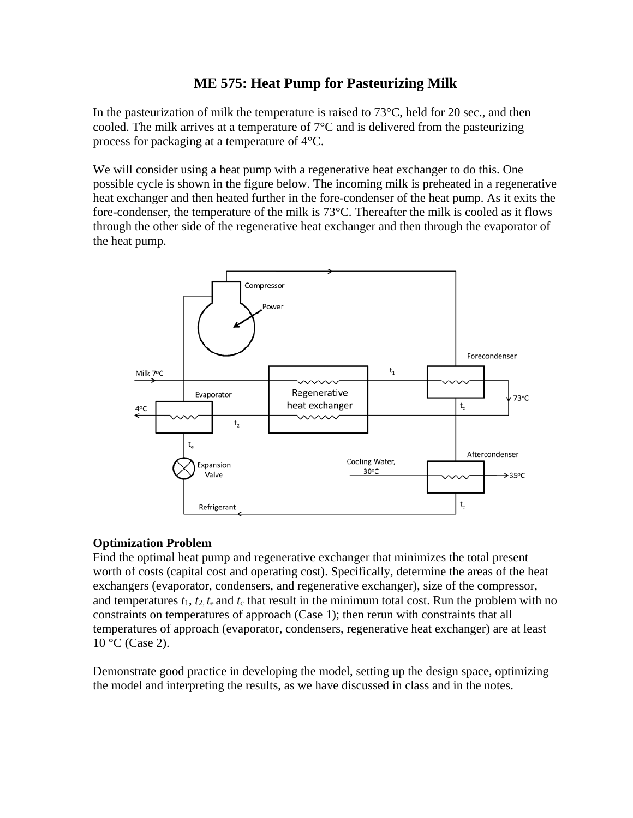# **ME 575: Heat Pump for Pasteurizing Milk**

In the pasteurization of milk the temperature is raised to  $73^{\circ}$ C, held for 20 sec., and then cooled. The milk arrives at a temperature of  $7^{\circ}$ C and is delivered from the pasteurizing process for packaging at a temperature of 4°C.

We will consider using a heat pump with a regenerative heat exchanger to do this. One possible cycle is shown in the figure below. The incoming milk is preheated in a regenerative heat exchanger and then heated further in the fore-condenser of the heat pump. As it exits the fore-condenser, the temperature of the milk is 73°C. Thereafter the milk is cooled as it flows through the other side of the regenerative heat exchanger and then through the evaporator of the heat pump.



### **Optimization Problem**

Find the optimal heat pump and regenerative exchanger that minimizes the total present worth of costs (capital cost and operating cost). Specifically, determine the areas of the heat exchangers (evaporator, condensers, and regenerative exchanger), size of the compressor, and temperatures  $t_1$ ,  $t_2$ ,  $t_e$  and  $t_c$  that result in the minimum total cost. Run the problem with no constraints on temperatures of approach (Case 1); then rerun with constraints that all temperatures of approach (evaporator, condensers, regenerative heat exchanger) are at least 10 °C (Case 2).

Demonstrate good practice in developing the model, setting up the design space, optimizing the model and interpreting the results, as we have discussed in class and in the notes.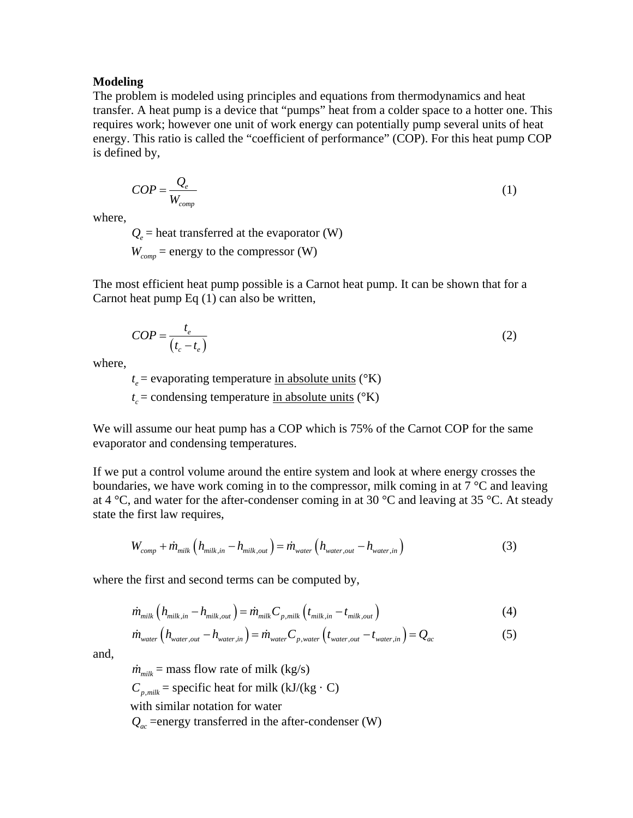#### **Modeling**

The problem is modeled using principles and equations from thermodynamics and heat transfer. A heat pump is a device that "pumps" heat from a colder space to a hotter one. This requires work; however one unit of work energy can potentially pump several units of heat energy. This ratio is called the "coefficient of performance" (COP). For this heat pump COP is defined by,

$$
COP = \frac{Q_e}{W_{comp}}\tag{1}
$$

where,

 $Q_e$  = heat transferred at the evaporator (W)

 $W_{comm}$  = energy to the compressor (W)

The most efficient heat pump possible is a Carnot heat pump. It can be shown that for a Carnot heat pump Eq (1) can also be written,

$$
COP = \frac{t_e}{(t_c - t_e)}
$$
 (2)

where,

 $t_e$  = evaporating temperature in absolute units ( $\rm{e}$ K)  $t_c$  = condensing temperature in absolute units ( $\rm{°K}$ )

We will assume our heat pump has a COP which is 75% of the Carnot COP for the same evaporator and condensing temperatures.

If we put a control volume around the entire system and look at where energy crosses the boundaries, we have work coming in to the compressor, milk coming in at  $7^{\circ}$ C and leaving at 4  $\degree$ C, and water for the after-condenser coming in at 30  $\degree$ C and leaving at 35  $\degree$ C. At steady state the first law requires,

$$
W_{comp} + \dot{m}_{milk} \left( h_{milk,in} - h_{milk,out} \right) = \dot{m}_{water} \left( h_{water,out} - h_{water,in} \right)
$$
 (3)

where the first and second terms can be computed by,

$$
\dot{m}_{milk} \left( h_{milk,in} - h_{milk,out} \right) = \dot{m}_{milk} C_{p,milk} \left( t_{milk,in} - t_{milk,out} \right) \tag{4}
$$

$$
\dot{m}_{water} \left( h_{water,out} - h_{water,in} \right) = \dot{m}_{water} C_{p,water} \left( t_{water,out} - t_{water,in} \right) = Q_{ac}
$$
\n(5)

and,

 $\dot{m}_{milk}$  = mass flow rate of milk (kg/s)  $C_{p, min}$  = specific heat for milk (kJ/(kg · C) with similar notation for water

 $Q_{ac}$  =energy transferred in the after-condenser (W)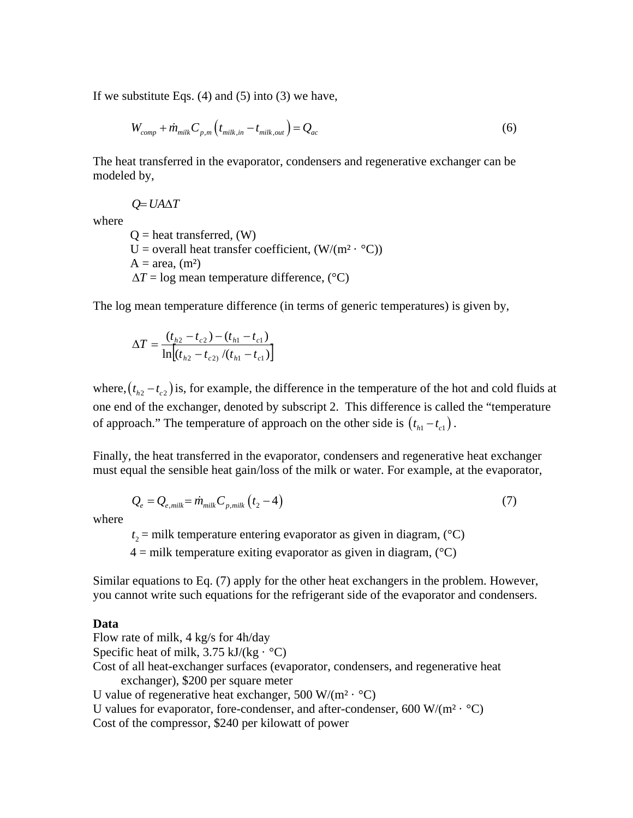If we substitute Eqs.  $(4)$  and  $(5)$  into  $(3)$  we have,

$$
W_{comp} + \dot{m}_{milk} C_{p,m} \left( t_{milk,in} - t_{milk,out} \right) = Q_{ac}
$$
 (6)

The heat transferred in the evaporator, condensers and regenerative exchanger can be modeled by,

where

 $Q = U A \Delta T$ 

 $Q =$  heat transferred,  $(W)$ U = overall heat transfer coefficient,  $(W/(m^2 \cdot {}^{\circ}C))$  $A = \text{area}, \text{ (m}^2)$  $\Delta T$  = log mean temperature difference, ( $\degree$ C)

The log mean temperature difference (in terms of generic temperatures) is given by,

$$
\Delta T = \frac{(t_{h2} - t_{c2}) - (t_{h1} - t_{c1})}{\ln[(t_{h2} - t_{c2})/(t_{h1} - t_{c1})]}
$$

where,  $(t_{h2} - t_{c2})$  is, for example, the difference in the temperature of the hot and cold fluids at one end of the exchanger, denoted by subscript 2. This difference is called the "temperature of approach." The temperature of approach on the other side is  $(t_{h1} - t_{c1})$ .

Finally, the heat transferred in the evaporator, condensers and regenerative heat exchanger must equal the sensible heat gain/loss of the milk or water. For example, at the evaporator,

$$
Q_e = Q_{e, milk} = \dot{m}_{milk} C_{p, milk} \left( t_2 - 4 \right) \tag{7}
$$

where

 $t_2$  = milk temperature entering evaporator as given in diagram, ( $^{\circ}$ C)

 $4 =$  milk temperature exiting evaporator as given in diagram,  $({}^{\circ}C)$ 

Similar equations to Eq. (7) apply for the other heat exchangers in the problem. However, you cannot write such equations for the refrigerant side of the evaporator and condensers.

#### **Data**

Flow rate of milk, 4 kg/s for 4h/day Specific heat of milk,  $3.75$  kJ/(kg  $\cdot$  °C) Cost of all heat-exchanger surfaces (evaporator, condensers, and regenerative heat exchanger), \$200 per square meter U value of regenerative heat exchanger, 500 W/( $m^2 \cdot {}^{\circ}C$ )

U values for evaporator, fore-condenser, and after-condenser, 600 W/( $m^2 \cdot {}^{\circ}C$ )

Cost of the compressor, \$240 per kilowatt of power